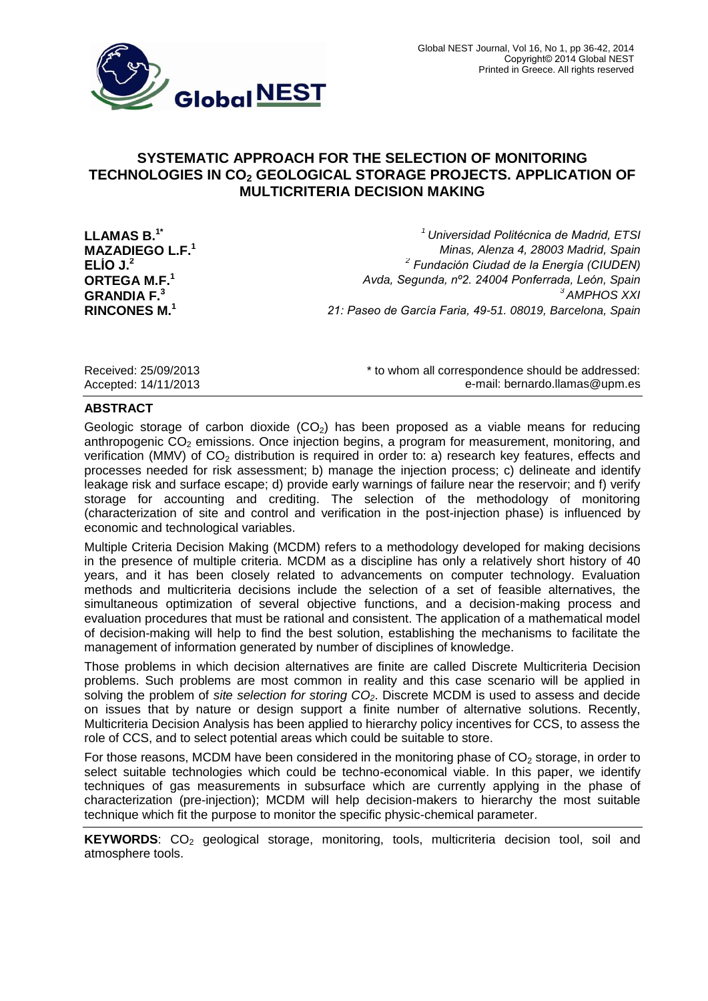

# **SYSTEMATIC APPROACH FOR THE SELECTION OF MONITORING TECHNOLOGIES IN CO<sup>2</sup> GEOLOGICAL STORAGE PROJECTS. APPLICATION OF MULTICRITERIA DECISION MAKING**

**ELÍO J.<sup>2</sup>** *<sup>2</sup>*

**LLAMAS B.1\*** *<sup>1</sup>Universidad Politécnica de Madrid, ETSI*  **MAZADIEGO L.F.<sup>1</sup>** *Minas, Alenza 4, 28003 Madrid, Spain Fundación Ciudad de la Energía (CIUDEN)* **ORTEGA M.F.<sup>1</sup>** *Avda, Segunda, nº2. 24004 Ponferrada, León, Spain* **GRANDIA F.<sup>3</sup>** *<sup>3</sup>AMPHOS XXI* **RINCONES M.<sup>1</sup>** *21: Paseo de García Faria, 49-51. 08019, Barcelona, Spain*

Received: 25/09/2013 **Exerce** is to whom all correspondence should be addressed: Accepted: 14/11/2013 e-mail: [bernardo.llamas@upm.es](mailto:bernardo.llamas@upm.es)

#### **ABSTRACT**

Geologic storage of carbon dioxide  $(CO<sub>2</sub>)$  has been proposed as a viable means for reducing anthropogenic  $CO<sub>2</sub>$  emissions. Once injection begins, a program for measurement, monitoring, and verification (MMV) of  $CO<sub>2</sub>$  distribution is required in order to: a) research key features, effects and processes needed for risk assessment; b) manage the injection process; c) delineate and identify leakage risk and surface escape; d) provide early warnings of failure near the reservoir; and f) verify storage for accounting and crediting. The selection of the methodology of monitoring (characterization of site and control and verification in the post-injection phase) is influenced by economic and technological variables.

Multiple Criteria Decision Making (MCDM) refers to a methodology developed for making decisions in the presence of multiple criteria. MCDM as a discipline has only a relatively short history of 40 years, and it has been closely related to advancements on computer technology. Evaluation methods and multicriteria decisions include the selection of a set of feasible alternatives, the simultaneous optimization of several objective functions, and a decision-making process and evaluation procedures that must be rational and consistent. The application of a mathematical model of decision-making will help to find the best solution, establishing the mechanisms to facilitate the management of information generated by number of disciplines of knowledge.

Those problems in which decision alternatives are finite are called Discrete Multicriteria Decision problems. Such problems are most common in reality and this case scenario will be applied in solving the problem of *site selection for storing CO2*. Discrete MCDM is used to assess and decide on issues that by nature or design support a finite number of alternative solutions. Recently, Multicriteria Decision Analysis has been applied to hierarchy policy incentives for CCS, to assess the role of CCS, and to select potential areas which could be suitable to store.

For those reasons, MCDM have been considered in the monitoring phase of  $CO<sub>2</sub>$  storage, in order to select suitable technologies which could be techno-economical viable. In this paper, we identify techniques of gas measurements in subsurface which are currently applying in the phase of characterization (pre-injection); MCDM will help decision-makers to hierarchy the most suitable technique which fit the purpose to monitor the specific physic-chemical parameter.

KEYWORDS: CO<sub>2</sub> geological storage, monitoring, tools, multicriteria decision tool, soil and atmosphere tools.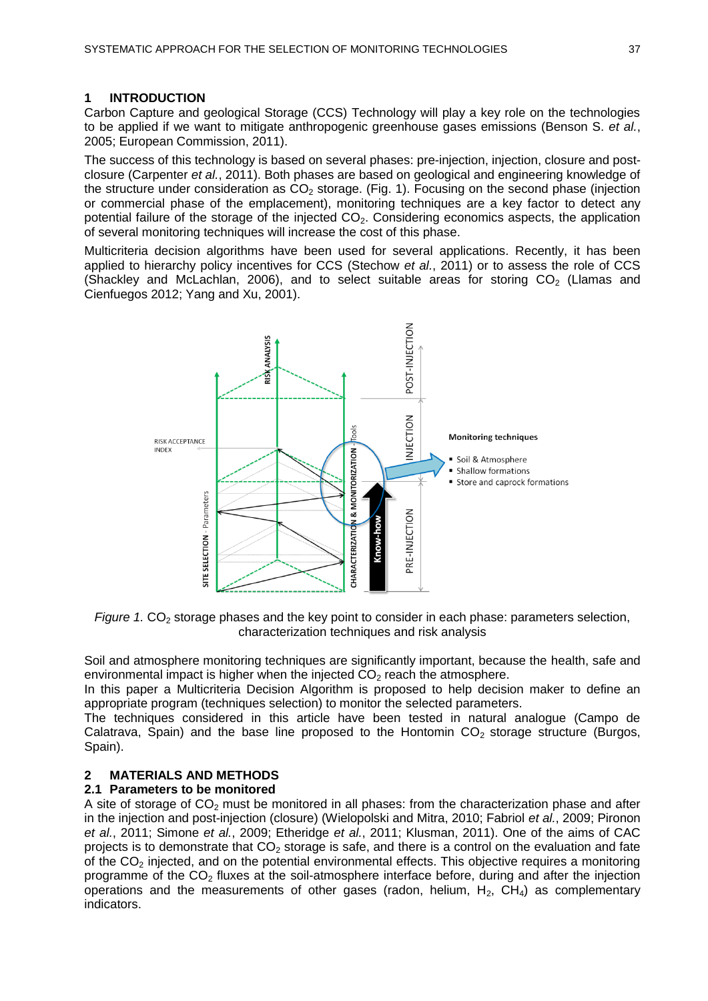## **1 INTRODUCTION**

Carbon Capture and geological Storage (CCS) Technology will play a key role on the technologies to be applied if we want to mitigate anthropogenic greenhouse gases emissions (Benson S. *et al.*, 2005; European Commission, 2011).

The success of this technology is based on several phases: pre-injection, injection, closure and postclosure (Carpenter *et al.*, 2011). Both phases are based on geological and engineering knowledge of the structure under consideration as  $CO<sub>2</sub>$  storage. (Fig. 1). Focusing on the second phase (injection or commercial phase of the emplacement), monitoring techniques are a key factor to detect any potential failure of the storage of the injected CO<sub>2</sub>. Considering economics aspects, the application of several monitoring techniques will increase the cost of this phase.

Multicriteria decision algorithms have been used for several applications. Recently, it has been applied to hierarchy policy incentives for CCS (Stechow *et al.*, 2011) or to assess the role of CCS (Shackley and McLachlan, 2006), and to select suitable areas for storing  $CO<sub>2</sub>$  (Llamas and Cienfuegos 2012; Yang and Xu, 2001).



*Figure* 1. CO<sub>2</sub> storage phases and the key point to consider in each phase: parameters selection, characterization techniques and risk analysis

Soil and atmosphere monitoring techniques are significantly important, because the health, safe and environmental impact is higher when the injected  $CO<sub>2</sub>$  reach the atmosphere.

In this paper a Multicriteria Decision Algorithm is proposed to help decision maker to define an appropriate program (techniques selection) to monitor the selected parameters.

The techniques considered in this article have been tested in natural analogue (Campo de Calatrava, Spain) and the base line proposed to the Hontomin  $CO<sub>2</sub>$  storage structure (Burgos, Spain).

## **2 MATERIALS AND METHODS**

#### **2.1 Parameters to be monitored**

A site of storage of  $CO<sub>2</sub>$  must be monitored in all phases: from the characterization phase and after in the injection and post-injection (closure) (Wielopolski and Mitra, 2010; Fabriol *et al.*, 2009; Pironon *et al.*, 2011; Simone *et al.*, 2009; Etheridge *et al.*, 2011; Klusman, 2011). One of the aims of CAC projects is to demonstrate that  $CO<sub>2</sub>$  storage is safe, and there is a control on the evaluation and fate of the  $CO<sub>2</sub>$  injected, and on the potential environmental effects. This objective requires a monitoring programme of the  $CO<sub>2</sub>$  fluxes at the soil-atmosphere interface before, during and after the injection operations and the measurements of other gases (radon, helium,  $H_2$ ,  $CH_4$ ) as complementary indicators.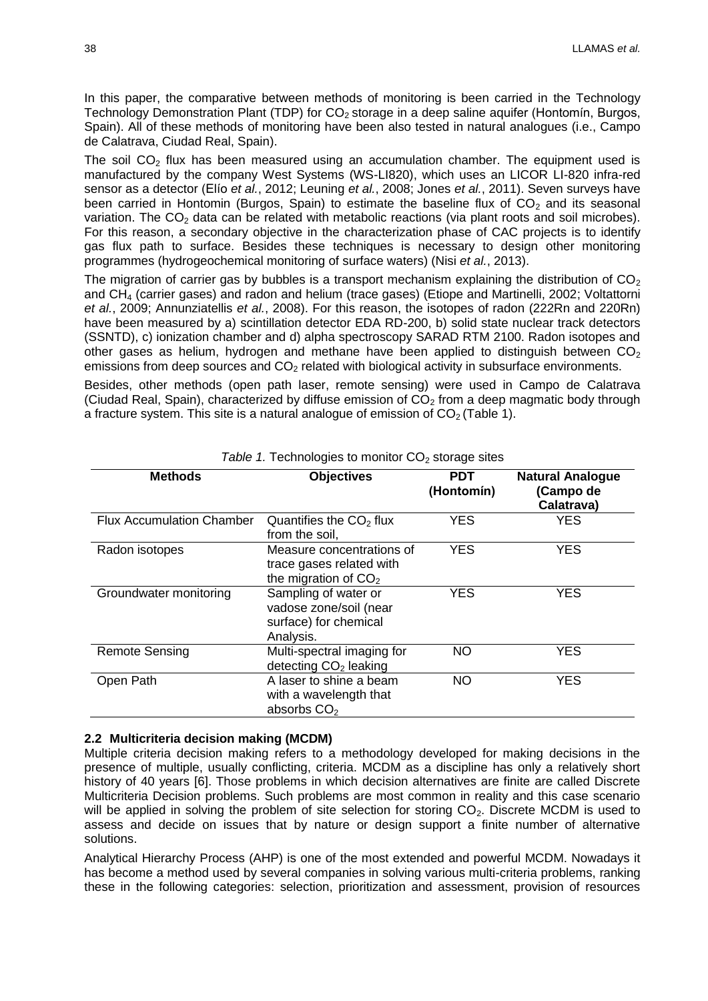In this paper, the comparative between methods of monitoring is been carried in the Technology Technology Demonstration Plant (TDP) for  $CO<sub>2</sub>$  storage in a deep saline aquifer (Hontomín, Burgos, Spain). All of these methods of monitoring have been also tested in natural analogues (i.e., Campo de Calatrava, Ciudad Real, Spain).

The soil  $CO<sub>2</sub>$  flux has been measured using an accumulation chamber. The equipment used is manufactured by the company West Systems (WS-LI820), which uses an LICOR LI-820 infra-red sensor as a detector (Elío *et al.*, 2012; Leuning *et al.*, 2008; Jones *et al.*, 2011). Seven surveys have been carried in Hontomin (Burgos, Spain) to estimate the baseline flux of  $CO<sub>2</sub>$  and its seasonal variation. The  $CO<sub>2</sub>$  data can be related with metabolic reactions (via plant roots and soil microbes). For this reason, a secondary objective in the characterization phase of CAC projects is to identify gas flux path to surface. Besides these techniques is necessary to design other monitoring programmes (hydrogeochemical monitoring of surface waters) (Nisi *et al.*, 2013).

The migration of carrier gas by bubbles is a transport mechanism explaining the distribution of  $CO<sub>2</sub>$ and CH<sup>4</sup> (carrier gases) and radon and helium (trace gases) (Etiope and Martinelli, 2002; Voltattorni *et al.*, 2009; Annunziatellis *et al.*, 2008). For this reason, the isotopes of radon (222Rn and 220Rn) have been measured by a) scintillation detector EDA RD-200, b) solid state nuclear track detectors (SSNTD), c) ionization chamber and d) alpha spectroscopy SARAD RTM 2100. Radon isotopes and other gases as helium, hydrogen and methane have been applied to distinguish between  $CO<sub>2</sub>$ emissions from deep sources and  $CO<sub>2</sub>$  related with biological activity in subsurface environments.

Besides, other methods (open path laser, remote sensing) were used in Campo de Calatrava (Ciudad Real, Spain), characterized by diffuse emission of  $CO<sub>2</sub>$  from a deep magmatic body through a fracture system. This site is a natural analogue of emission of  $CO<sub>2</sub>$  (Table 1).

| <b>Methods</b>                   | <b>Objectives</b>                                                                    | <b>PDT</b><br>(Hontomín) | <b>Natural Analogue</b><br>(Campo de<br>Calatrava) |
|----------------------------------|--------------------------------------------------------------------------------------|--------------------------|----------------------------------------------------|
| <b>Flux Accumulation Chamber</b> | Quantifies the $CO2$ flux<br>from the soil,                                          | <b>YES</b>               | <b>YES</b>                                         |
| Radon isotopes                   | Measure concentrations of<br>trace gases related with<br>the migration of $CO2$      | <b>YES</b>               | <b>YES</b>                                         |
| Groundwater monitoring           | Sampling of water or<br>vadose zone/soil (near<br>surface) for chemical<br>Analysis. | <b>YES</b>               | <b>YES</b>                                         |
| <b>Remote Sensing</b>            | Multi-spectral imaging for<br>detecting CO <sub>2</sub> leaking                      | <b>NO</b>                | <b>YES</b>                                         |
| Open Path                        | A laser to shine a beam<br>with a wavelength that<br>absorbs CO <sub>2</sub>         | <b>NO</b>                | <b>YES</b>                                         |

#### Table 1. Technologies to monitor  $CO<sub>2</sub>$  storage sites

#### **2.2 Multicriteria decision making (MCDM)**

Multiple criteria decision making refers to a methodology developed for making decisions in the presence of multiple, usually conflicting, criteria. MCDM as a discipline has only a relatively short history of 40 years [6]. Those problems in which decision alternatives are finite are called Discrete Multicriteria Decision problems. Such problems are most common in reality and this case scenario will be applied in solving the problem of site selection for storing  $CO<sub>2</sub>$ . Discrete MCDM is used to assess and decide on issues that by nature or design support a finite number of alternative solutions.

Analytical Hierarchy Process (AHP) is one of the most extended and powerful MCDM. Nowadays it has become a method used by several companies in solving various multi-criteria problems, ranking these in the following categories: selection, prioritization and assessment, provision of resources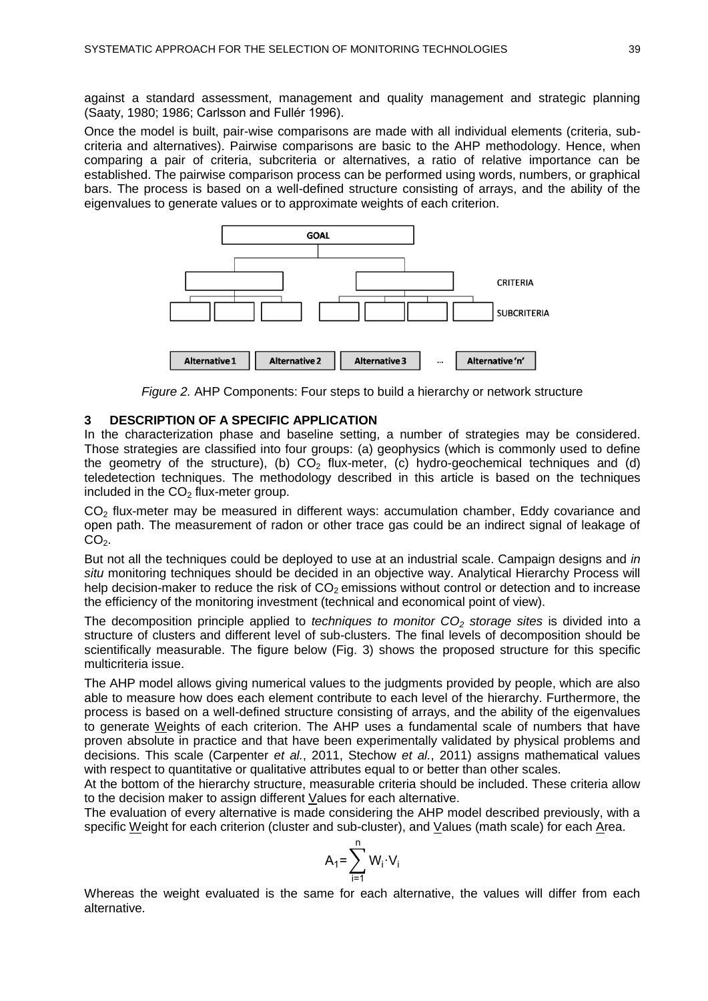against a standard assessment, management and quality management and strategic planning (Saaty, 1980; 1986; Carlsson and Fullér 1996).

Once the model is built, pair-wise comparisons are made with all individual elements (criteria, subcriteria and alternatives). Pairwise comparisons are basic to the AHP methodology. Hence, when comparing a pair of criteria, subcriteria or alternatives, a ratio of relative importance can be established. The pairwise comparison process can be performed using words, numbers, or graphical bars. The process is based on a well-defined structure consisting of arrays, and the ability of the eigenvalues to generate values or to approximate weights of each criterion.





### **3 DESCRIPTION OF A SPECIFIC APPLICATION**

In the characterization phase and baseline setting, a number of strategies may be considered. Those strategies are classified into four groups: (a) geophysics (which is commonly used to define the geometry of the structure), (b)  $CO<sub>2</sub>$  flux-meter, (c) hydro-geochemical techniques and (d) teledetection techniques. The methodology described in this article is based on the techniques included in the  $CO<sub>2</sub>$  flux-meter group.

CO<sub>2</sub> flux-meter may be measured in different ways: accumulation chamber, Eddy covariance and open path. The measurement of radon or other trace gas could be an indirect signal of leakage of  $CO<sub>2</sub>$ .

But not all the techniques could be deployed to use at an industrial scale. Campaign designs and *in situ* monitoring techniques should be decided in an objective way. Analytical Hierarchy Process will help decision-maker to reduce the risk of  $CO<sub>2</sub>$  emissions without control or detection and to increase the efficiency of the monitoring investment (technical and economical point of view).

The decomposition principle applied to *techniques to monitor CO<sup>2</sup> storage sites* is divided into a structure of clusters and different level of sub-clusters. The final levels of decomposition should be scientifically measurable. The figure below (Fig. 3) shows the proposed structure for this specific multicriteria issue.

The AHP model allows giving numerical values to the judgments provided by people, which are also able to measure how does each element contribute to each level of the hierarchy. Furthermore, the process is based on a well-defined structure consisting of arrays, and the ability of the eigenvalues to generate Weights of each criterion. The AHP uses a fundamental scale of numbers that have proven absolute in practice and that have been experimentally validated by physical problems and decisions. This scale (Carpenter *et al.*, 2011, Stechow *et al.*, 2011) assigns mathematical values with respect to quantitative or qualitative attributes equal to or better than other scales.

At the bottom of the hierarchy structure, measurable criteria should be included. These criteria allow to the decision maker to assign different Values for each alternative.

The evaluation of every alternative is made considering the AHP model described previously, with a specific Weight for each criterion (cluster and sub-cluster), and Values (math scale) for each Area.

$$
A_1 = \sum_{i=1}^n W_i \cdot V_i
$$

Whereas the weight evaluated is the same for each alternative, the values will differ from each alternative.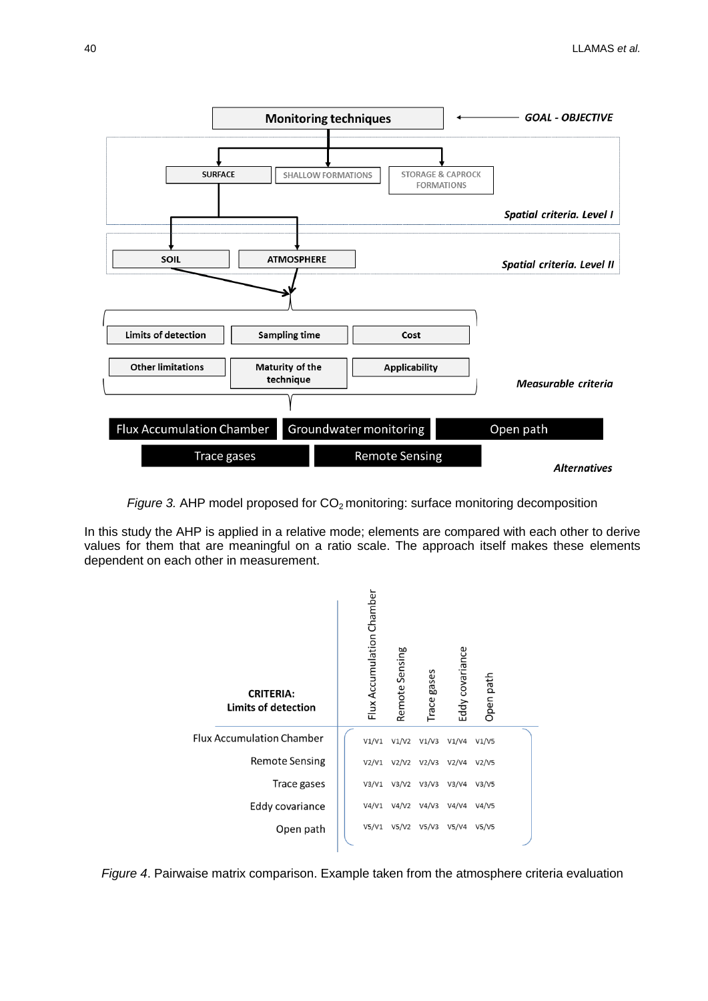

*Figure* 3. AHP model proposed for CO<sub>2</sub> monitoring: surface monitoring decomposition

In this study the AHP is applied in a relative mode; elements are compared with each other to derive values for them that are meaningful on a ratio scale. The approach itself makes these elements dependent on each other in measurement.



*Figure 4*. Pairwaise matrix comparison. Example taken from the atmosphere criteria evaluation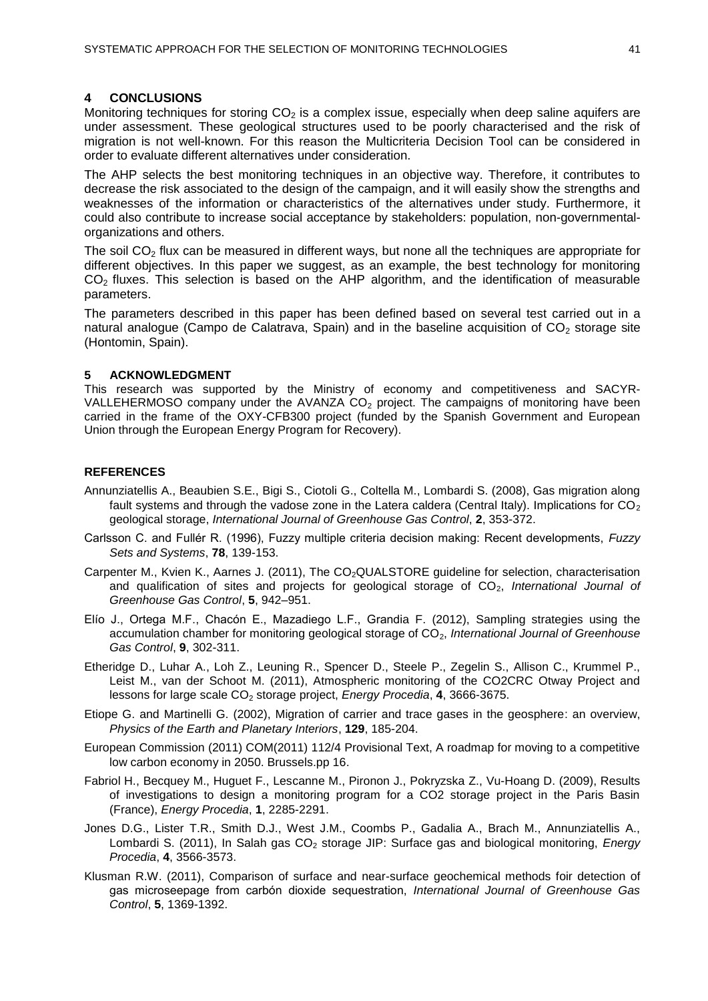### **4 CONCLUSIONS**

Monitoring techniques for storing  $CO<sub>2</sub>$  is a complex issue, especially when deep saline aquifers are under assessment. These geological structures used to be poorly characterised and the risk of migration is not well-known. For this reason the Multicriteria Decision Tool can be considered in order to evaluate different alternatives under consideration.

The AHP selects the best monitoring techniques in an objective way. Therefore, it contributes to decrease the risk associated to the design of the campaign, and it will easily show the strengths and weaknesses of the information or characteristics of the alternatives under study. Furthermore, it could also contribute to increase social acceptance by stakeholders: population, non-governmentalorganizations and others.

The soil  $CO<sub>2</sub>$  flux can be measured in different ways, but none all the techniques are appropriate for different objectives. In this paper we suggest, as an example, the best technology for monitoring  $CO<sub>2</sub>$  fluxes. This selection is based on the AHP algorithm, and the identification of measurable parameters.

The parameters described in this paper has been defined based on several test carried out in a natural analogue (Campo de Calatrava, Spain) and in the baseline acquisition of  $CO<sub>2</sub>$  storage site (Hontomin, Spain).

#### **5 ACKNOWLEDGMENT**

This research was supported by the Ministry of economy and competitiveness and SACYR-VALLEHERMOSO company under the AVANZA  $CO<sub>2</sub>$  project. The campaigns of monitoring have been carried in the frame of the OXY-CFB300 project (funded by the Spanish Government and European Union through the European Energy Program for Recovery).

#### **REFERENCES**

- Annunziatellis A., Beaubien S.E., Bigi S., Ciotoli G., Coltella M., Lombardi S. (2008), Gas migration along fault systems and through the vadose zone in the Latera caldera (Central Italy). Implications for  $CO<sub>2</sub>$ geological storage, *International Journal of Greenhouse Gas Control*, **2**, 353-372.
- Carlsson C. and Fullér R. (1996), Fuzzy multiple criteria decision making: Recent developments, *Fuzzy Sets and Systems*, **78**, 139-153.
- Carpenter M., Kvien K., Aarnes J. (2011), The CO<sub>2</sub>QUALSTORE guideline for selection, characterisation and qualification of sites and projects for geological storage of CO<sub>2</sub>, *International Journal of Greenhouse Gas Control*, **5**, 942–951.
- Elío J., Ortega M.F., Chacón E., Mazadiego L.F., Grandia F. (2012), Sampling strategies using the accumulation chamber for monitoring geological storage of CO<sub>2</sub>, *International Journal of Greenhouse Gas Control*, **9**, 302-311.
- Etheridge D., Luhar A., Loh Z., Leuning R., Spencer D., Steele P., Zegelin S., Allison C., Krummel P., Leist M., van der Schoot M. (2011), Atmospheric monitoring of the CO2CRC Otway Project and lessons for large scale CO<sub>2</sub> storage project, *Energy Procedia*, 4, 3666-3675.
- Etiope G. and Martinelli G. (2002), Migration of carrier and trace gases in the geosphere: an overview, *Physics of the Earth and Planetary Interiors*, **129**, 185-204.
- European Commission (2011) COM(2011) 112/4 Provisional Text, A roadmap for moving to a competitive low carbon economy in 2050. Brussels.pp 16.
- Fabriol H., Becquey M., Huguet F., Lescanne M., Pironon J., Pokryzska Z., Vu-Hoang D. (2009), Results of investigations to design a monitoring program for a CO2 storage project in the Paris Basin (France), *Energy Procedia*, **1**, 2285-2291.
- Jones D.G., Lister T.R., Smith D.J., West J.M., Coombs P., Gadalia A., Brach M., Annunziatellis A., Lombardi S. (2011), In Salah gas CO<sub>2</sub> storage JIP: Surface gas and biological monitoring, *Energy Procedia*, **4**, 3566-3573.
- Klusman R.W. (2011), Comparison of surface and near-surface geochemical methods foir detection of gas microseepage from carbón dioxide sequestration, *International Journal of Greenhouse Gas Control*, **5**, 1369-1392.